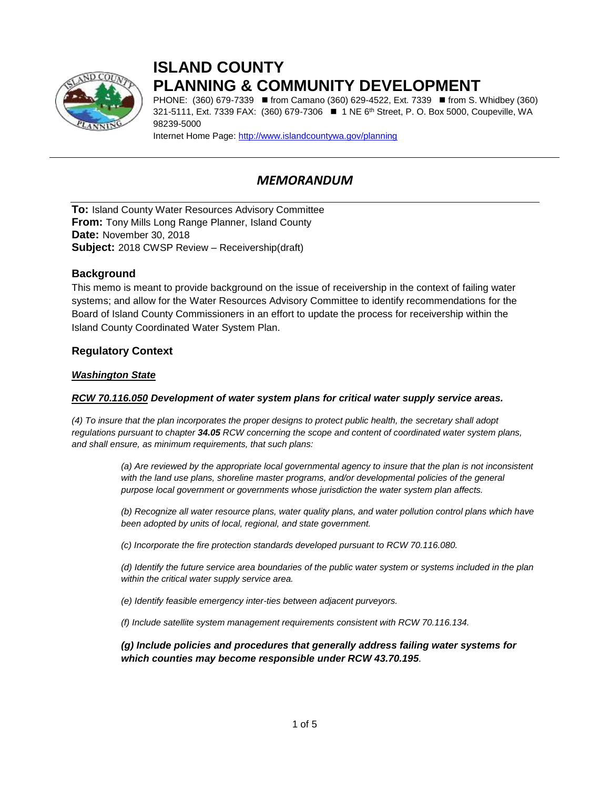

# **ISLAND COUNTY PLANNING & COMMUNITY DEVELOPMENT**

PHONE: (360) 679-7339 ■ from Camano (360) 629-4522, Ext. 7339 ■ from S. Whidbey (360) 321-5111, Ext. 7339 FAX: (360) 679-7306 ■ 1 NE 6<sup>th</sup> Street, P. O. Box 5000, Coupeville, WA 98239-5000

Internet Home Page:<http://www.islandcountywa.gov/planning>

## *MEMORANDUM*

**To:** Island County Water Resources Advisory Committee **From:** Tony Mills Long Range Planner, Island County **Date:** November 30, 2018 **Subject:** 2018 CWSP Review – Receivership(draft)

## **Background**

This memo is meant to provide background on the issue of receivership in the context of failing water systems; and allow for the Water Resources Advisory Committee to identify recommendations for the Board of Island County Commissioners in an effort to update the process for receivership within the Island County Coordinated Water System Plan.

## **Regulatory Context**

## *Washington State*

### *RCW 70.116.050 Development of water system plans for critical water supply service areas.*

*(4) To insure that the plan incorporates the proper designs to protect public health, the secretary shall adopt regulations pursuant to chapter 34.05 RCW concerning the scope and content of coordinated water system plans, and shall ensure, as minimum requirements, that such plans:*

> *(a) Are reviewed by the appropriate local governmental agency to insure that the plan is not inconsistent*  with the land use plans, shoreline master programs, and/or developmental policies of the general *purpose local government or governments whose jurisdiction the water system plan affects.*

> *(b) Recognize all water resource plans, water quality plans, and water pollution control plans which have been adopted by units of local, regional, and state government.*

*(c) Incorporate the fire protection standards developed pursuant to RCW 70.116.080.*

*(d) Identify the future service area boundaries of the public water system or systems included in the plan within the critical water supply service area.*

*(e) Identify feasible emergency inter-ties between adjacent purveyors.*

*(f) Include satellite system management requirements consistent with RCW 70.116.134.*

*(g) Include policies and procedures that generally address failing water systems for which counties may become responsible under RCW 43.70.195.*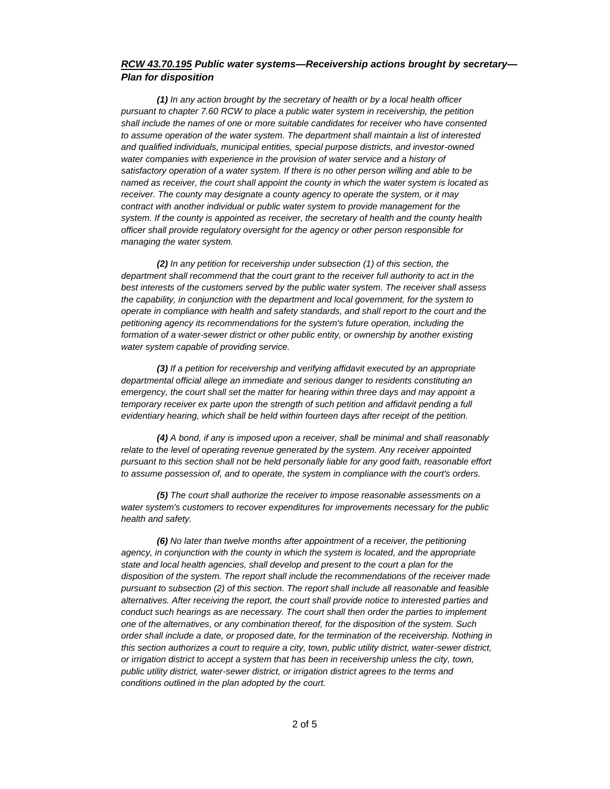#### *RCW 43.70.195 Public water systems—Receivership actions brought by secretary— Plan for disposition*

*(1) In any action brought by the secretary of health or by a local health officer pursuant to chapter 7.60 RCW to place a public water system in receivership, the petition shall include the names of one or more suitable candidates for receiver who have consented to assume operation of the water system. The department shall maintain a list of interested and qualified individuals, municipal entities, special purpose districts, and investor-owned*  water companies with experience in the provision of water service and a history of *satisfactory operation of a water system. If there is no other person willing and able to be named as receiver, the court shall appoint the county in which the water system is located as receiver. The county may designate a county agency to operate the system, or it may contract with another individual or public water system to provide management for the system. If the county is appointed as receiver, the secretary of health and the county health officer shall provide regulatory oversight for the agency or other person responsible for managing the water system.*

*(2) In any petition for receivership under subsection (1) of this section, the department shall recommend that the court grant to the receiver full authority to act in the best interests of the customers served by the public water system. The receiver shall assess the capability, in conjunction with the department and local government, for the system to operate in compliance with health and safety standards, and shall report to the court and the petitioning agency its recommendations for the system's future operation, including the formation of a water-sewer district or other public entity, or ownership by another existing water system capable of providing service.*

*(3) If a petition for receivership and verifying affidavit executed by an appropriate departmental official allege an immediate and serious danger to residents constituting an emergency, the court shall set the matter for hearing within three days and may appoint a temporary receiver ex parte upon the strength of such petition and affidavit pending a full evidentiary hearing, which shall be held within fourteen days after receipt of the petition.*

*(4) A bond, if any is imposed upon a receiver, shall be minimal and shall reasonably relate to the level of operating revenue generated by the system. Any receiver appointed pursuant to this section shall not be held personally liable for any good faith, reasonable effort to assume possession of, and to operate, the system in compliance with the court's orders.*

*(5) The court shall authorize the receiver to impose reasonable assessments on a water system's customers to recover expenditures for improvements necessary for the public health and safety.*

*(6) No later than twelve months after appointment of a receiver, the petitioning agency, in conjunction with the county in which the system is located, and the appropriate state and local health agencies, shall develop and present to the court a plan for the disposition of the system. The report shall include the recommendations of the receiver made pursuant to subsection (2) of this section. The report shall include all reasonable and feasible alternatives. After receiving the report, the court shall provide notice to interested parties and conduct such hearings as are necessary. The court shall then order the parties to implement one of the alternatives, or any combination thereof, for the disposition of the system. Such order shall include a date, or proposed date, for the termination of the receivership. Nothing in this section authorizes a court to require a city, town, public utility district, water-sewer district, or irrigation district to accept a system that has been in receivership unless the city, town, public utility district, water-sewer district, or irrigation district agrees to the terms and conditions outlined in the plan adopted by the court.*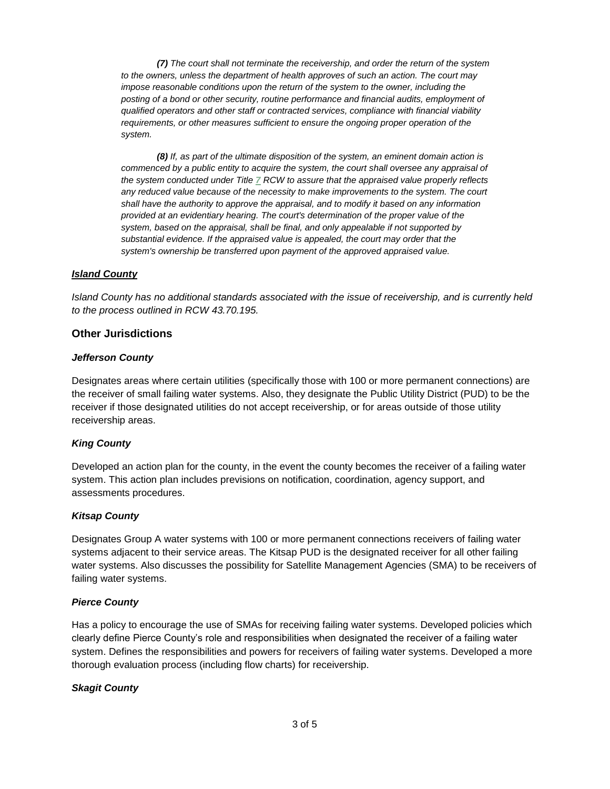*(7) The court shall not terminate the receivership, and order the return of the system*  to the owners, unless the department of health approves of such an action. The court may *impose reasonable conditions upon the return of the system to the owner, including the posting of a bond or other security, routine performance and financial audits, employment of qualified operators and other staff or contracted services, compliance with financial viability requirements, or other measures sufficient to ensure the ongoing proper operation of the system.*

*(8) If, as part of the ultimate disposition of the system, an eminent domain action is commenced by a public entity to acquire the system, the court shall oversee any appraisal of the system conducted under Title [7](http://app.leg.wa.gov/RCW/default.aspx?cite=%207) RCW to assure that the appraised value properly reflects any reduced value because of the necessity to make improvements to the system. The court shall have the authority to approve the appraisal, and to modify it based on any information provided at an evidentiary hearing. The court's determination of the proper value of the system, based on the appraisal, shall be final, and only appealable if not supported by substantial evidence. If the appraised value is appealed, the court may order that the system's ownership be transferred upon payment of the approved appraised value.*

#### *Island County*

*Island County has no additional standards associated with the issue of receivership, and is currently held to the process outlined in RCW 43.70.195.*

#### **Other Jurisdictions**

#### *Jefferson County*

Designates areas where certain utilities (specifically those with 100 or more permanent connections) are the receiver of small failing water systems. Also, they designate the Public Utility District (PUD) to be the receiver if those designated utilities do not accept receivership, or for areas outside of those utility receivership areas.

#### *King County*

Developed an action plan for the county, in the event the county becomes the receiver of a failing water system. This action plan includes previsions on notification, coordination, agency support, and assessments procedures.

#### *Kitsap County*

Designates Group A water systems with 100 or more permanent connections receivers of failing water systems adjacent to their service areas. The Kitsap PUD is the designated receiver for all other failing water systems. Also discusses the possibility for Satellite Management Agencies (SMA) to be receivers of failing water systems.

#### *Pierce County*

Has a policy to encourage the use of SMAs for receiving failing water systems. Developed policies which clearly define Pierce County's role and responsibilities when designated the receiver of a failing water system. Defines the responsibilities and powers for receivers of failing water systems. Developed a more thorough evaluation process (including flow charts) for receivership.

#### *Skagit County*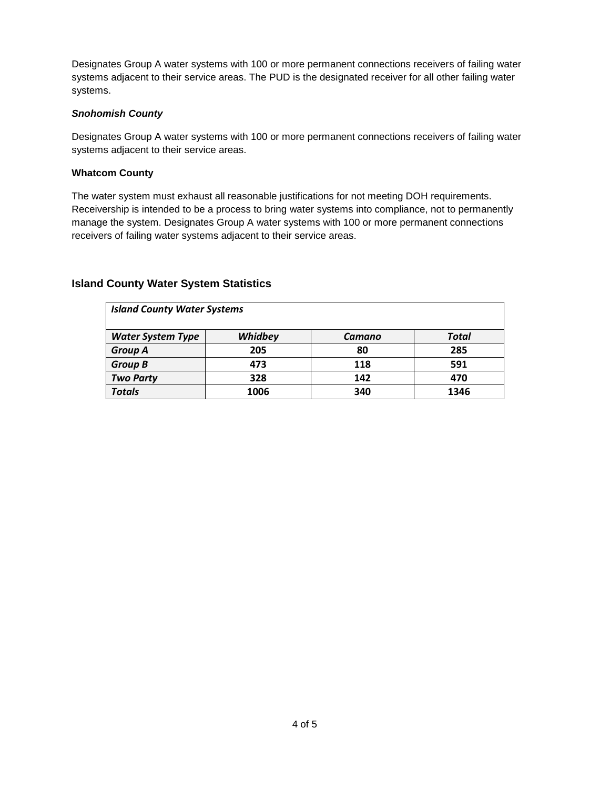Designates Group A water systems with 100 or more permanent connections receivers of failing water systems adjacent to their service areas. The PUD is the designated receiver for all other failing water systems.

## *Snohomish County*

Designates Group A water systems with 100 or more permanent connections receivers of failing water systems adjacent to their service areas.

#### **Whatcom County**

The water system must exhaust all reasonable justifications for not meeting DOH requirements. Receivership is intended to be a process to bring water systems into compliance, not to permanently manage the system. Designates Group A water systems with 100 or more permanent connections receivers of failing water systems adjacent to their service areas.

## **Island County Water System Statistics**

| <b>Island County Water Systems</b> |         |        |       |  |
|------------------------------------|---------|--------|-------|--|
| <b>Water System Type</b>           | Whidbey | Camano | Total |  |
| <b>Group A</b>                     | 205     | 80     | 285   |  |
| <b>Group B</b>                     | 473     | 118    | 591   |  |
| <b>Two Party</b>                   | 328     | 142    | 470   |  |
| <b>Totals</b>                      | 1006    | 340    | 1346  |  |